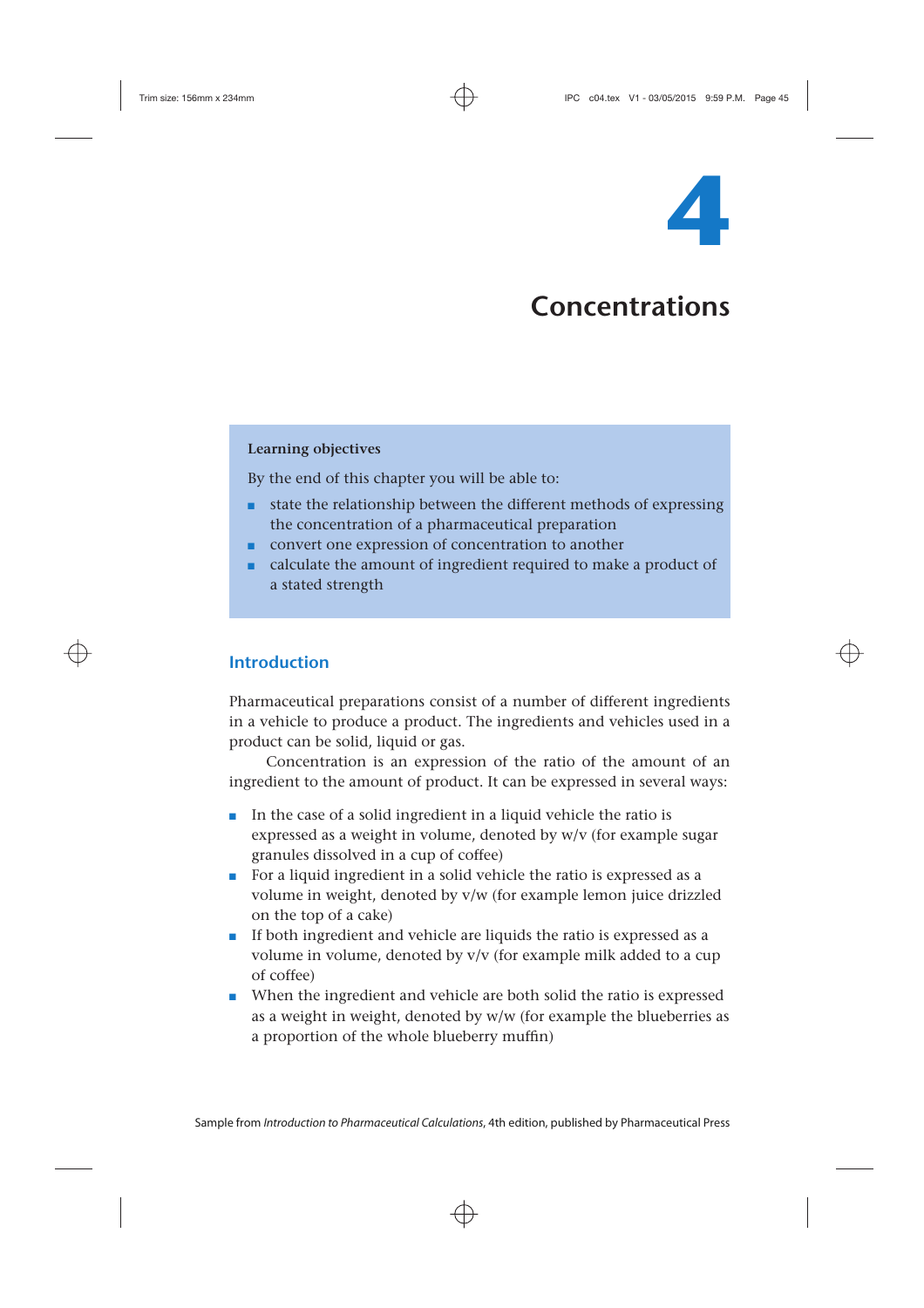

# **Concentrations**

### **Learning objectives**

By the end of this chapter you will be able to:

- state the relationship between the different methods of expressing the concentration of a pharmaceutical preparation
- convert one expression of concentration to another
- calculate the amount of ingredient required to make a product of a stated strength

# **Introduction**

Pharmaceutical preparations consist of a number of different ingredients in a vehicle to produce a product. The ingredients and vehicles used in a product can be solid, liquid or gas.

Concentration is an expression of the ratio of the amount of an ingredient to the amount of product. It can be expressed in several ways:

- In the case of a solid ingredient in a liquid vehicle the ratio is expressed as a weight in volume, denoted by w/v (for example sugar granules dissolved in a cup of coffee)
- For a liquid ingredient in a solid vehicle the ratio is expressed as a volume in weight, denoted by v/w (for example lemon juice drizzled on the top of a cake)
- If both ingredient and vehicle are liquids the ratio is expressed as a volume in volume, denoted by v/v (for example milk added to a cup of coffee)
- When the ingredient and vehicle are both solid the ratio is expressed as a weight in weight, denoted by w/w (for example the blueberries as a proportion of the whole blueberry muffin)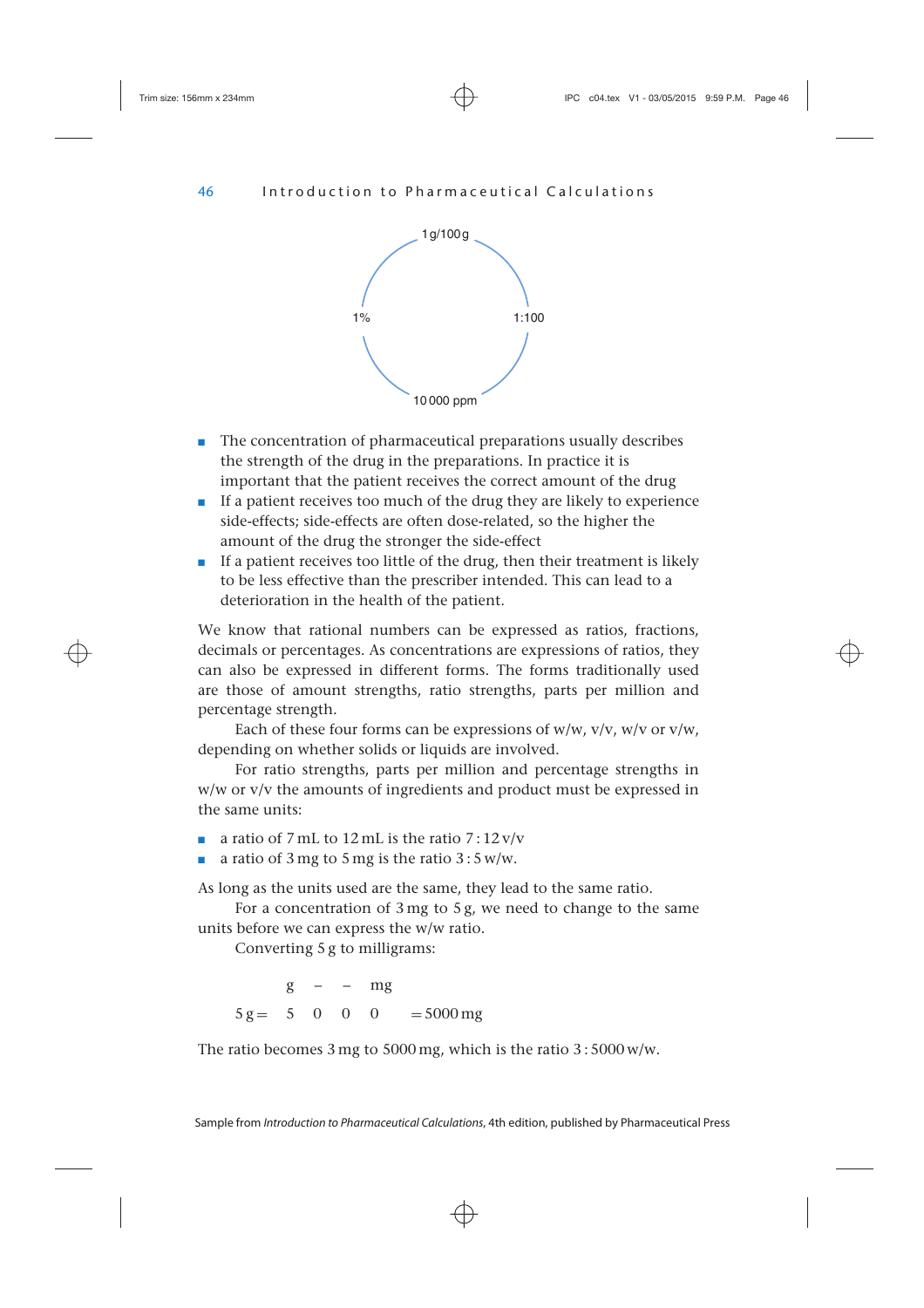

- The concentration of pharmaceutical preparations usually describes the strength of the drug in the preparations. In practice it is important that the patient receives the correct amount of the drug
- If a patient receives too much of the drug they are likely to experience side-effects; side-effects are often dose-related, so the higher the amount of the drug the stronger the side-effect
- If a patient receives too little of the drug, then their treatment is likely to be less effective than the prescriber intended. This can lead to a deterioration in the health of the patient.

We know that rational numbers can be expressed as ratios, fractions, decimals or percentages. As concentrations are expressions of ratios, they can also be expressed in different forms. The forms traditionally used are those of amount strengths, ratio strengths, parts per million and percentage strength.

Each of these four forms can be expressions of  $w/w$ ,  $v/v$ ,  $w/v$  or  $v/w$ , depending on whether solids or liquids are involved.

For ratio strengths, parts per million and percentage strengths in w/w or v/v the amounts of ingredients and product must be expressed in the same units:

- **a** ratio of 7 mL to 12 mL is the ratio  $7:12 \text{ v/v}$
- a ratio of 3 mg to 5 mg is the ratio  $3:5$  w/w.

As long as the units used are the same, they lead to the same ratio.

For a concentration of 3 mg to 5 g, we need to change to the same units before we can express the w/w ratio.

Converting 5 g to milligrams:

 $g - - mg$  $5 \text{ g} = 500 \text{ m} = 5000 \text{ mg}$ 

The ratio becomes 3 mg to 5000 mg, which is the ratio 3 : 5000 w/w.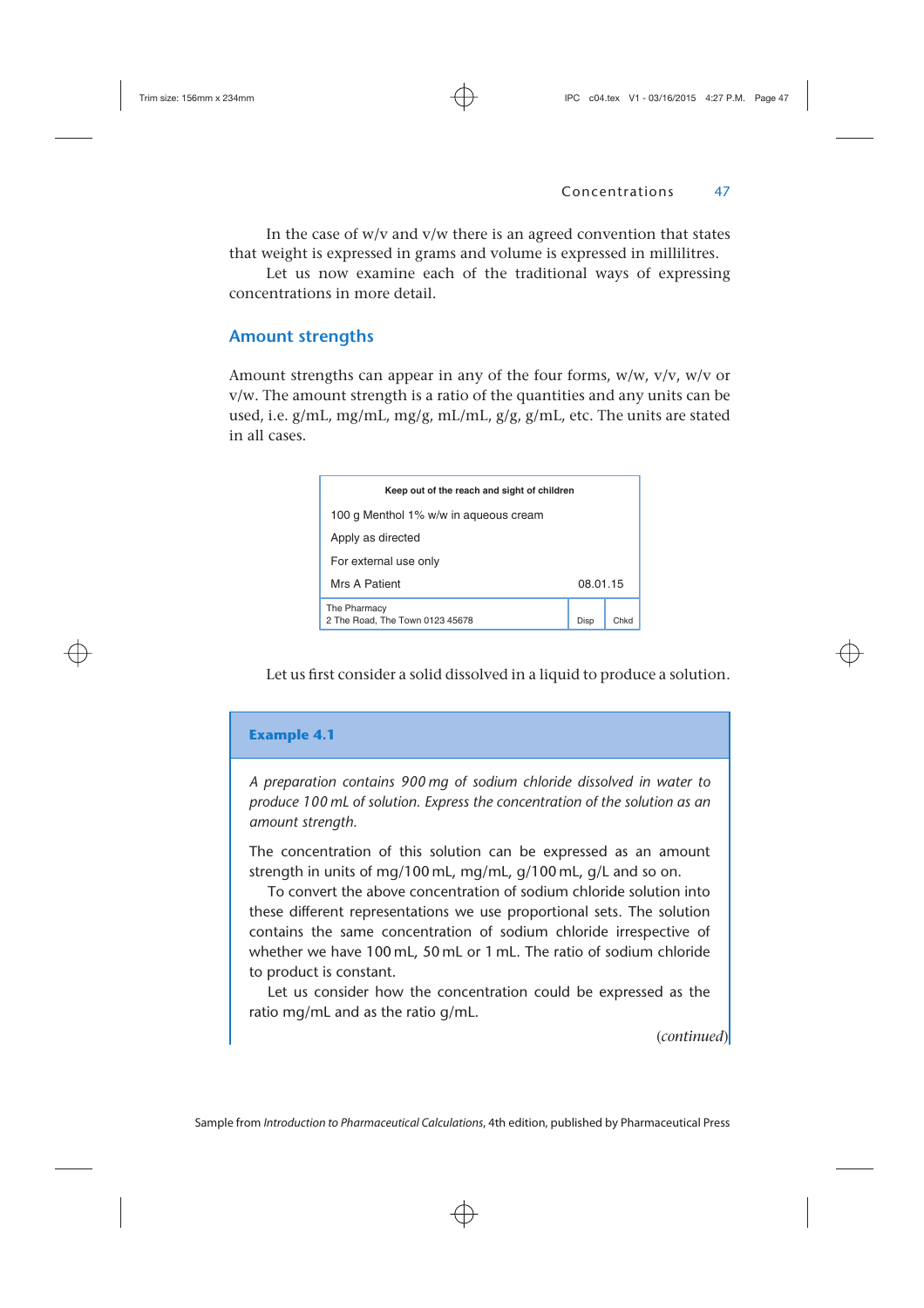In the case of  $w/v$  and  $v/w$  there is an agreed convention that states that weight is expressed in grams and volume is expressed in millilitres.

Let us now examine each of the traditional ways of expressing concentrations in more detail.

# **Amount strengths**

Amount strengths can appear in any of the four forms,  $w/w$ ,  $v/v$ ,  $w/v$  or v/w. The amount strength is a ratio of the quantities and any units can be used, i.e.  $g/mL$ , mg/mL, mg/g, mL/mL,  $g/g$ ,  $g/mL$ , etc. The units are stated in all cases.

| Keep out of the reach and sight of children     |          |      |
|-------------------------------------------------|----------|------|
| 100 g Menthol 1% w/w in agueous cream           |          |      |
| Apply as directed                               |          |      |
| For external use only                           |          |      |
| Mrs A Patient                                   | 08.01.15 |      |
| The Pharmacy<br>2 The Road, The Town 0123 45678 | Disp     | Chkr |

Let us first consider a solid dissolved in a liquid to produce a solution.



(*continued*)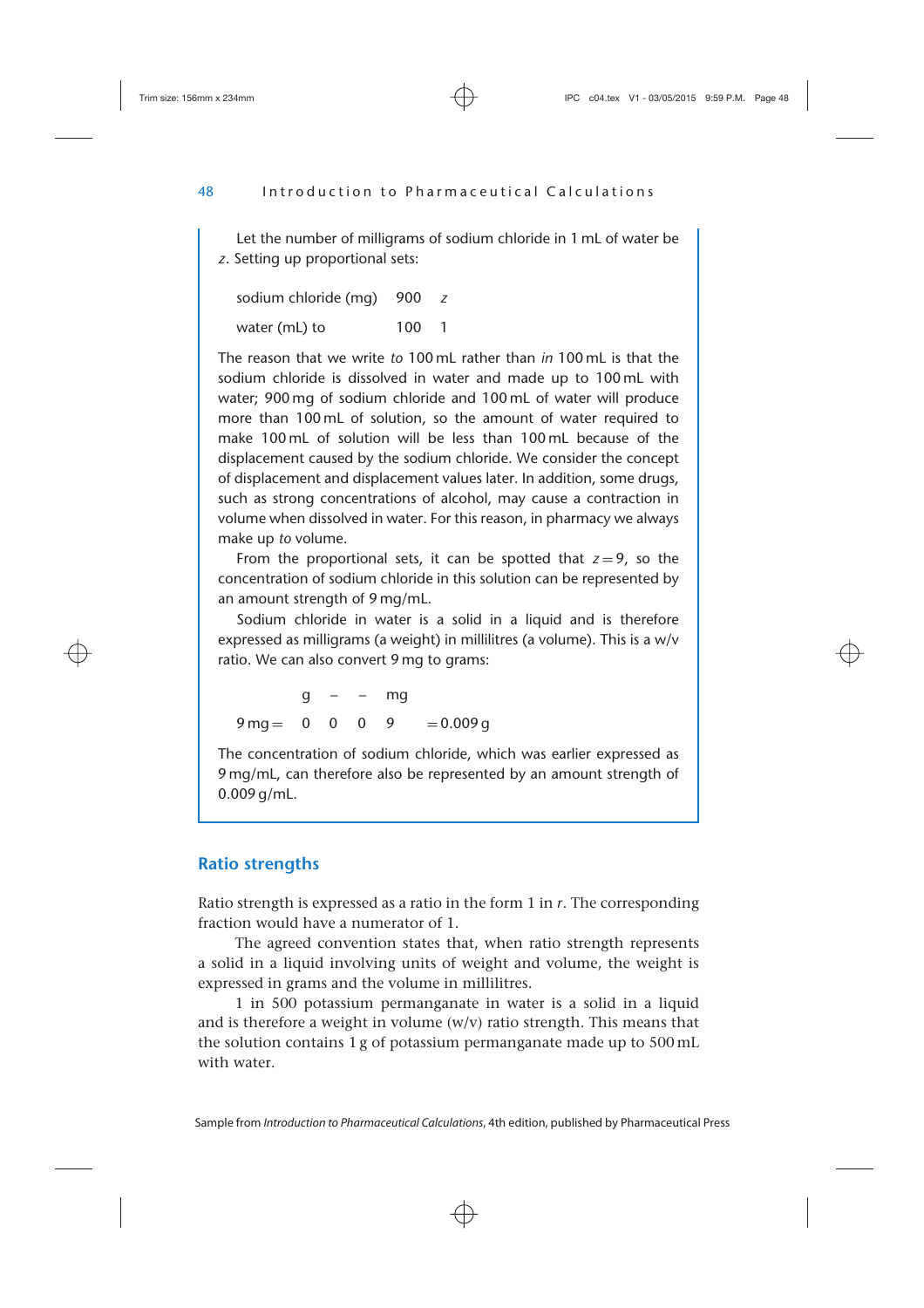Let the number of milligrams of sodium chloride in 1 mL of water be *z*. Setting up proportional sets:

sodium chloride (mg) 900 *z* water (mL) to 100 1

The reason that we write *to* 100 mL rather than *in* 100 mL is that the sodium chloride is dissolved in water and made up to 100 mL with water; 900 mg of sodium chloride and 100 mL of water will produce more than 100 mL of solution, so the amount of water required to make 100 mL of solution will be less than 100 mL because of the displacement caused by the sodium chloride. We consider the concept of displacement and displacement values later. In addition, some drugs, such as strong concentrations of alcohol, may cause a contraction in volume when dissolved in water. For this reason, in pharmacy we always make up *to* volume.

From the proportional sets, it can be spotted that  $z=9$ , so the concentration of sodium chloride in this solution can be represented by an amount strength of 9 mg/mL.

Sodium chloride in water is a solid in a liquid and is therefore expressed as milligrams (a weight) in millilitres (a volume). This is a w/v ratio. We can also convert 9 mg to grams:

 $q - - mg$  $9 \text{ ma} = 0$  0 0 9 = 0.009 g

The concentration of sodium chloride, which was earlier expressed as 9 mg/mL, can therefore also be represented by an amount strength of 0.009 g/mL.

## **Ratio strengths**

Ratio strength is expressed as a ratio in the form 1 in *r*. The corresponding fraction would have a numerator of 1.

The agreed convention states that, when ratio strength represents a solid in a liquid involving units of weight and volume, the weight is expressed in grams and the volume in millilitres.

1 in 500 potassium permanganate in water is a solid in a liquid and is therefore a weight in volume  $(w/v)$  ratio strength. This means that the solution contains 1 g of potassium permanganate made up to 500 mL with water.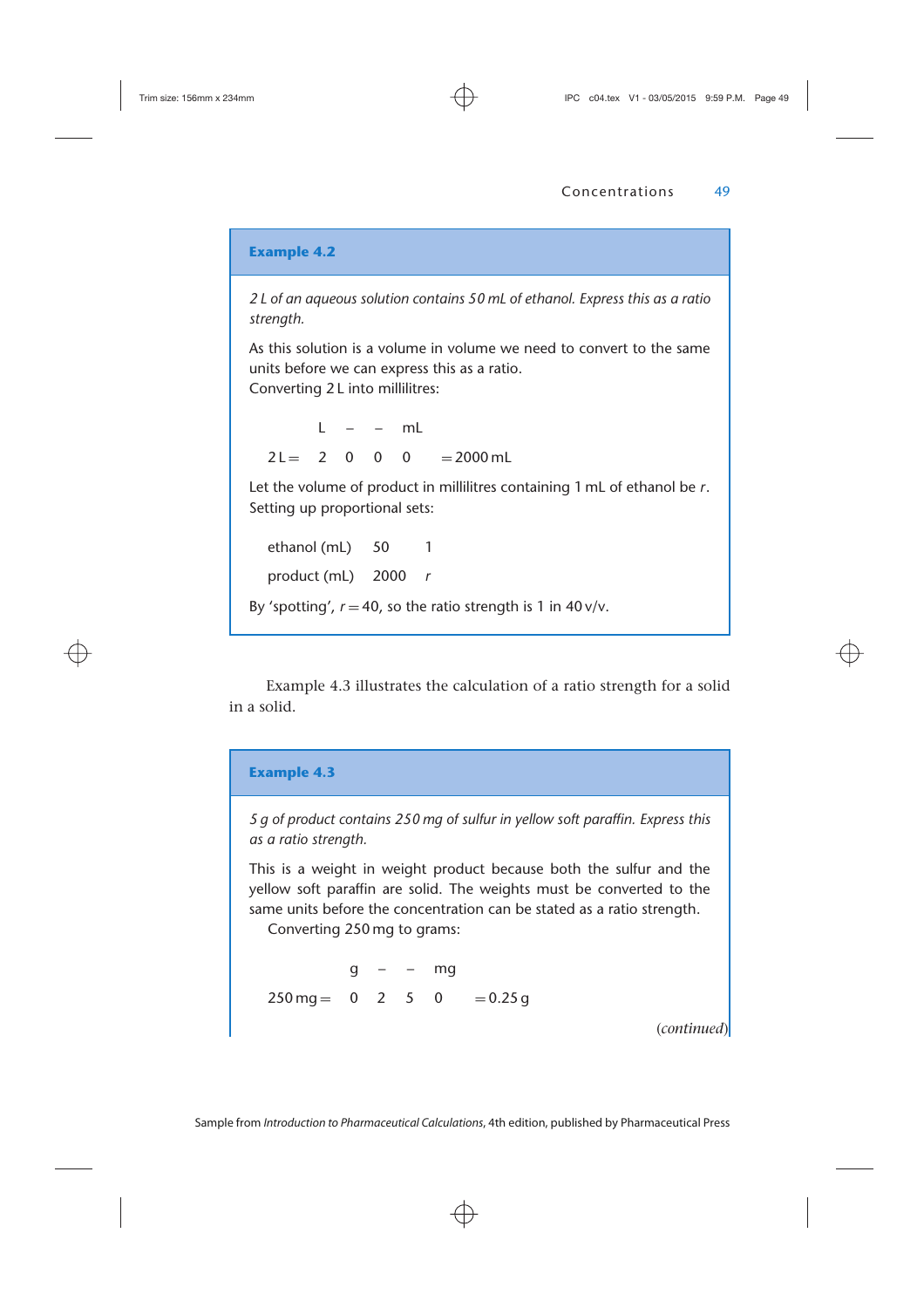*2 L of an aqueous solution contains 50 mL of ethanol. Express this as a ratio strength.*

As this solution is a volume in volume we need to convert to the same units before we can express this as a ratio.

Converting 2 L into millilitres:

 $l - - ml$  $2 \mathsf{L} = 2 \quad 0 \quad 0 \quad 0 = 2000 \,\mathrm{m}$ 

Let the volume of product in millilitres containing 1 mL of ethanol be *r*. Setting up proportional sets:

ethanol (mL) 50 1 product (mL) 2000 *r* By 'spotting',  $r = 40$ , so the ratio strength is 1 in  $40v/v$ .

Example 4.3 illustrates the calculation of a ratio strength for a solid in a solid.

#### **Example 4.3**

*5 g of product contains 250 mg of sulfur in yellow soft paraffin. Express this as a ratio strength.*

This is a weight in weight product because both the sulfur and the yellow soft paraffin are solid. The weights must be converted to the same units before the concentration can be stated as a ratio strength.

Converting 250 mg to grams:

 $q - - mg$  $250 \text{ mg} = 0$  2 5 0 = 0.25 g

(*continued*)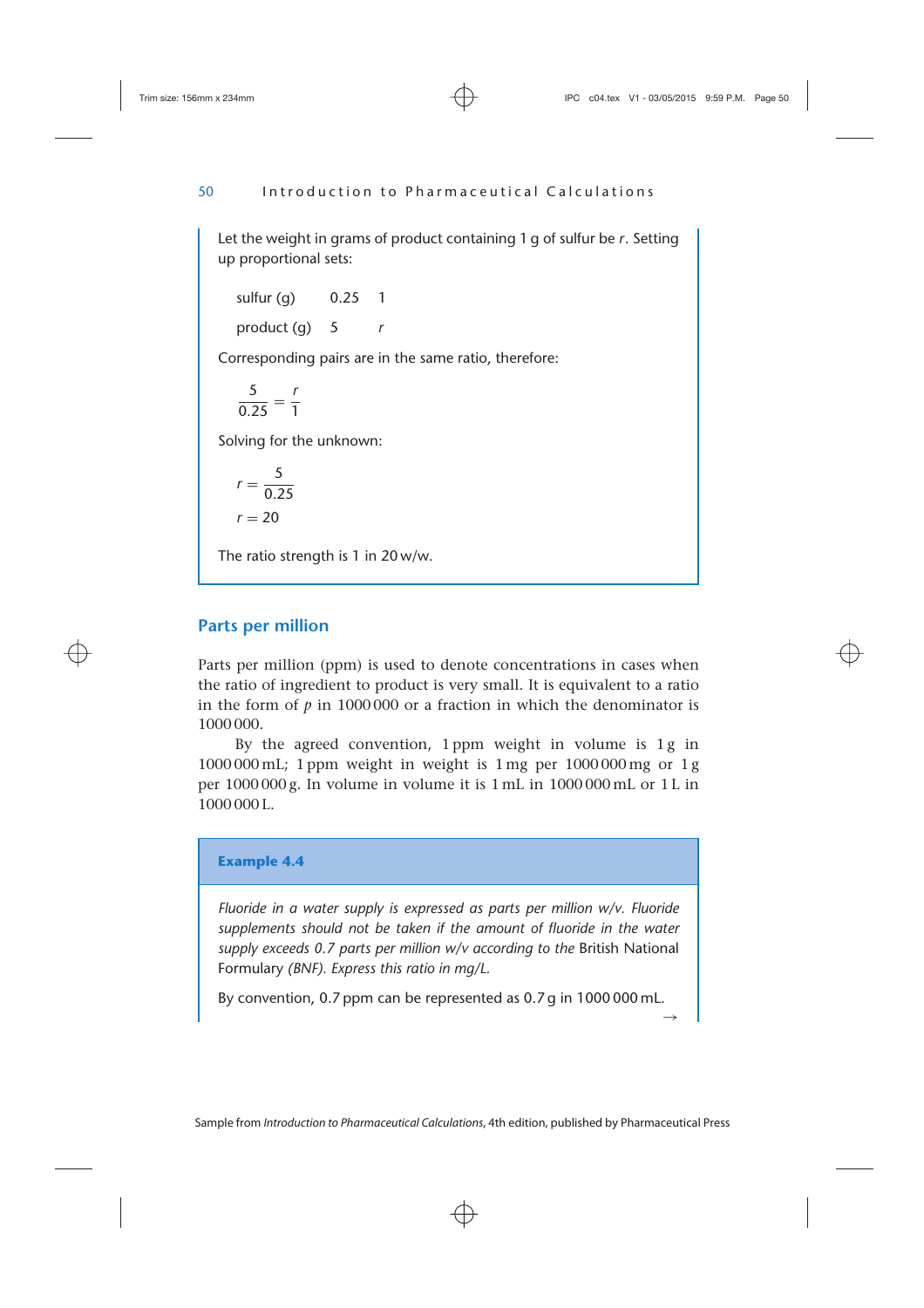Let the weight in grams of product containing 1 g of sulfur be *r*. Setting up proportional sets:

sulfur  $(q)$  0.25 1 product (g) 5 *r*

Corresponding pairs are in the same ratio, therefore:

$$
\frac{5}{0.25} = \frac{r}{1}
$$

Solving for the unknown:

$$
r = \frac{5}{0.25}
$$

$$
r = 20
$$

The ratio strength is 1 in 20 w/w.

# **Parts per million**

Parts per million (ppm) is used to denote concentrations in cases when the ratio of ingredient to product is very small. It is equivalent to a ratio in the form of  $p$  in 1000,000 or a fraction in which the denominator is 1000 000.

By the agreed convention, 1 ppm weight in volume is 1 g in 1000 000 mL; 1 ppm weight in weight is 1 mg per 1000 000 mg or 1 g per 1000 000 g. In volume in volume it is 1 mL in 1000 000 mL or 1 L in 1000 000 L.

## **Example 4.4**

*Fluoride in a water supply is expressed as parts per million w/v. Fluoride supplements should not be taken if the amount of fluoride in the water supply exceeds 0.7 parts per million w/v according to the* British National Formulary *(BNF). Express this ratio in mg/L.*

By convention, 0.7 ppm can be represented as 0.7 g in 1000 000 mL.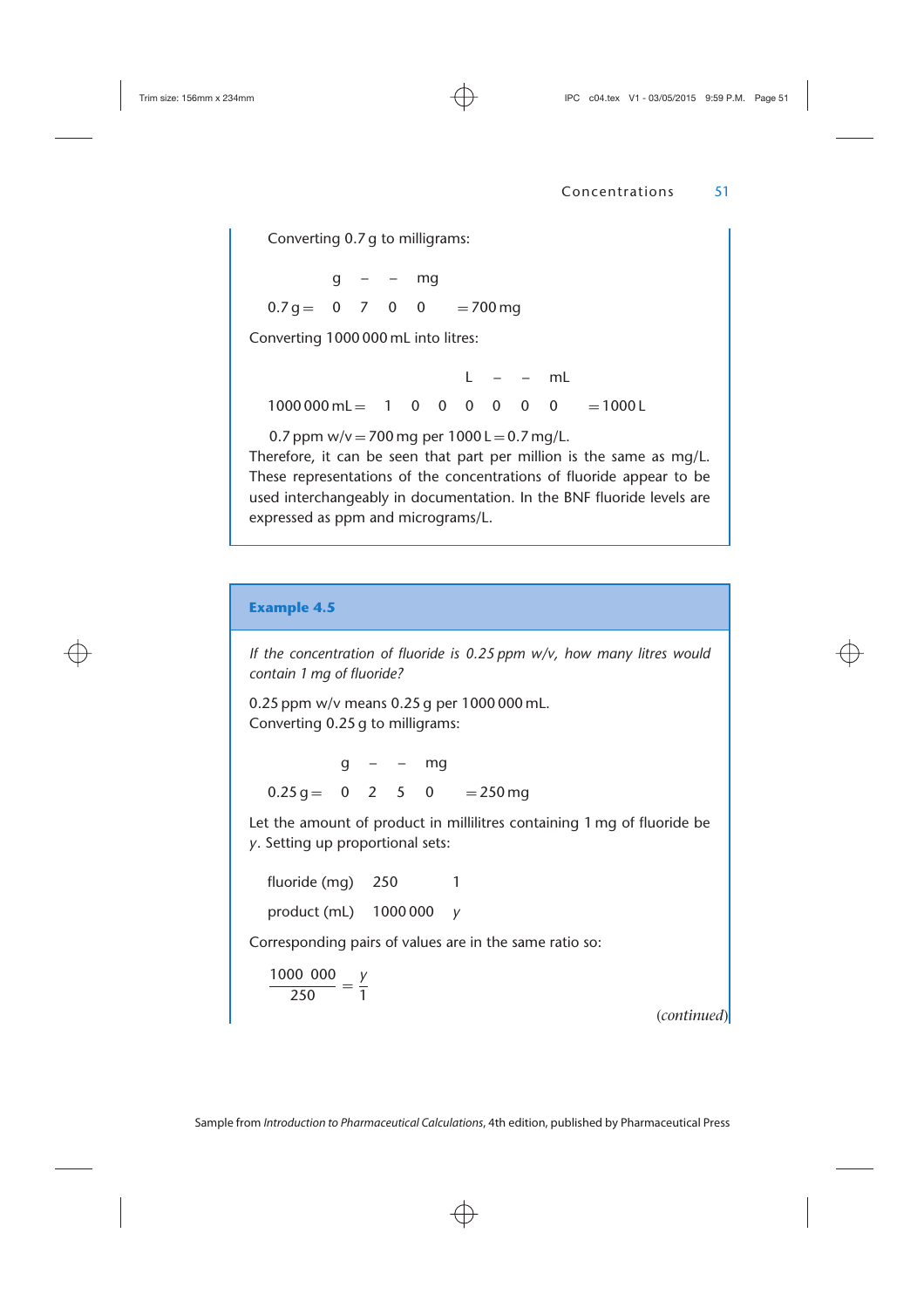Converting 0.7 g to milligrams:

 $q - - mg$  $0.7 q = 0$  7 0 0 = 700 mg

Converting 1000 000 mL into litres:

 $L = -mL$  $1000000 \text{ ml} = 10000$  0 0 0 0 0 0 = 1000 L

0.7 ppm  $w/v = 700$  mg per  $1000$  L = 0.7 mg/L.

Therefore, it can be seen that part per million is the same as mg/L. These representations of the concentrations of fluoride appear to be used interchangeably in documentation. In the BNF fluoride levels are expressed as ppm and micrograms/L.

## **Example 4.5**

*If the concentration of fluoride is 0.25 ppm w/v, how many litres would contain 1 mg of fluoride?*

0.25 ppm w/v means 0.25 g per 1000 000 mL. Converting 0.25 g to milligrams:

 $q - - ma$  $0.25 \text{ g} = 0$  2 5 0 = 250 mg

Let the amount of product in millilitres containing 1 mg of fluoride be *y*. Setting up proportional sets:

fluoride (mg) 250 1 product (mL) 1000 000 *y*

Corresponding pairs of values are in the same ratio so:

 $\frac{1000\,000}{250} = \frac{y}{1}$ 

(*continued*)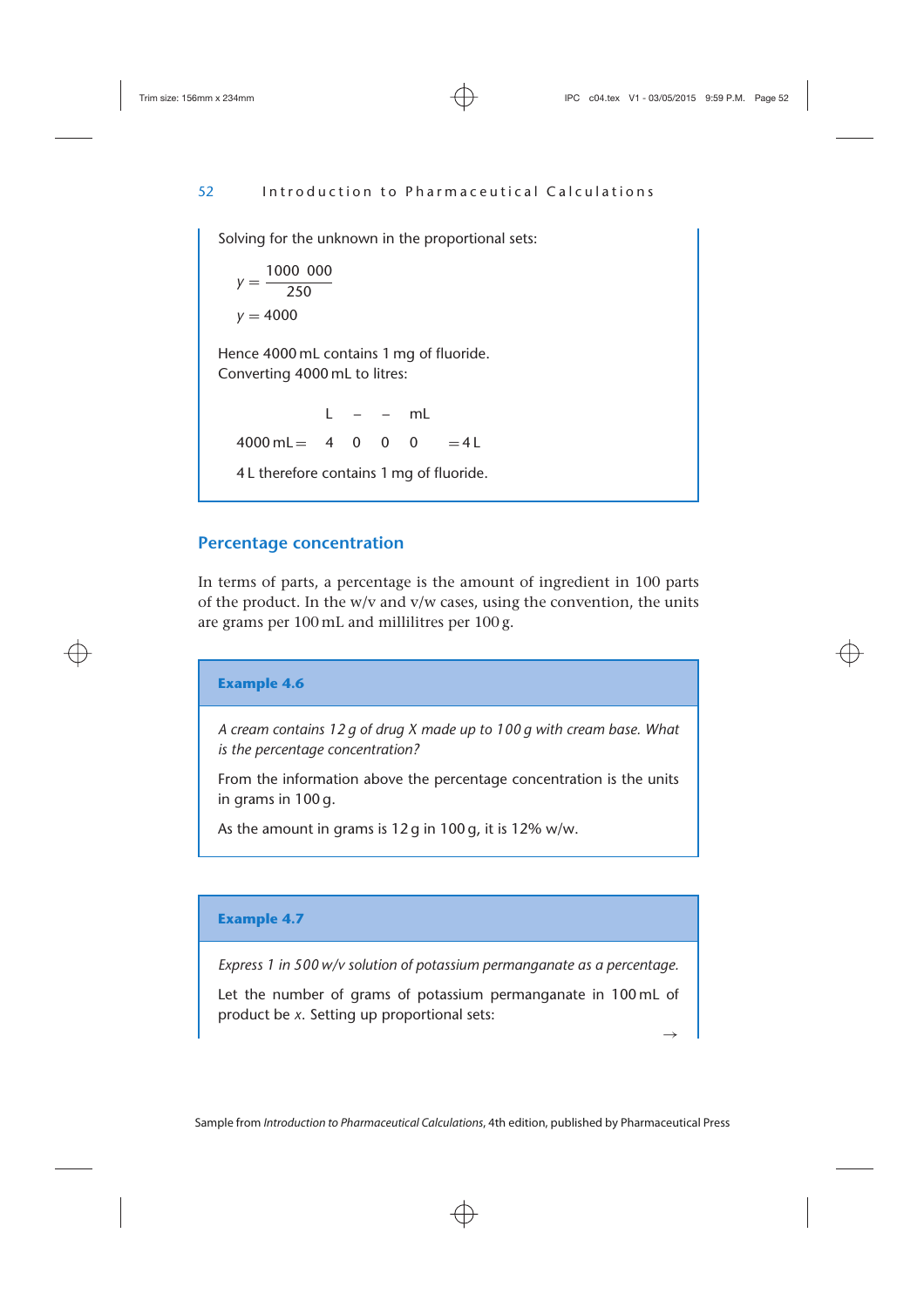Solving for the unknown in the proportional sets:

 $y = \frac{1000\,000}{250}$  $v = 4000$ Hence 4000 mL contains 1 mg of fluoride. Converting 4000 mL to litres:  $L = -mL$  $4000 \text{ ml} = 400 \space 0 \space 0 = 41$ 4 L therefore contains 1 mg of fluoride.

# **Percentage concentration**

In terms of parts, a percentage is the amount of ingredient in 100 parts of the product. In the  $w/v$  and  $v/w$  cases, using the convention, the units are grams per 100 mL and millilitres per 100 g.

```
Example 4.6
```
*A cream contains 12 g of drug X made up to 100 g with cream base. What is the percentage concentration?*

From the information above the percentage concentration is the units in grams in 100 g.

As the amount in grams is 12 g in 100 g, it is 12% w/w.

## **Example 4.7**

*Express 1 in 500 w/v solution of potassium permanganate as a percentage.*

Let the number of grams of potassium permanganate in 100 mL of product be *x*. Setting up proportional sets: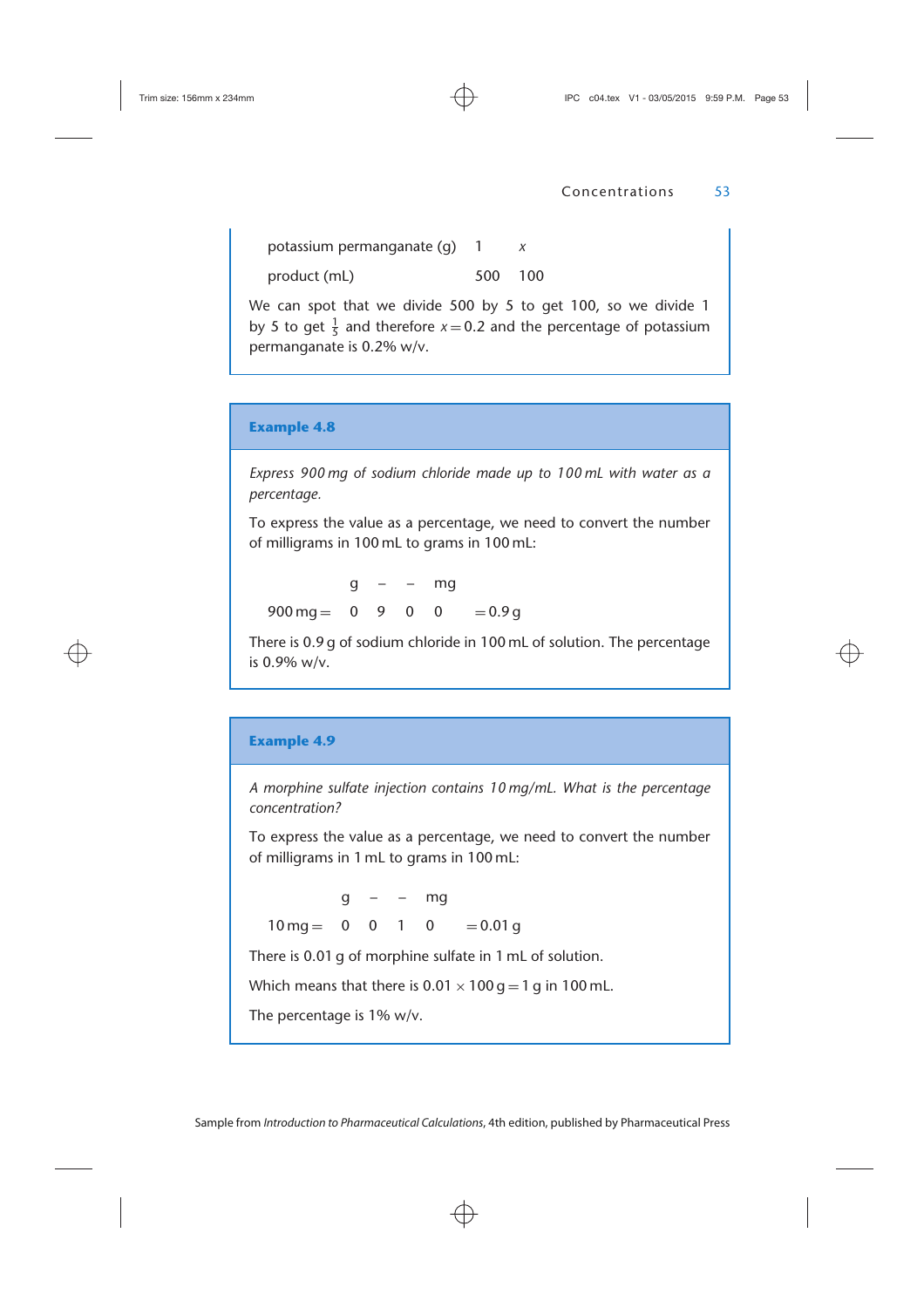potassium permanganate (g) 1 *x* product (mL) 500 100

We can spot that we divide 500 by 5 to get 100, so we divide 1 by 5 to get  $\frac{1}{5}$  and therefore  $x = 0.2$  and the percentage of potassium permanganate is 0.2% w/v.

## **Example 4.8**

*Express 900 mg of sodium chloride made up to 100 mL with water as a percentage.*

To express the value as a percentage, we need to convert the number of milligrams in 100 mL to grams in 100 mL:

 $q - - mg$  $900 \text{ mg} = 0$  9 0 0 = 0.9 g

There is 0.9 g of sodium chloride in 100 mL of solution. The percentage is 0.9% w/v.

#### **Example 4.9**

*A morphine sulfate injection contains 10 mg/mL. What is the percentage concentration?*

To express the value as a percentage, we need to convert the number of milligrams in 1 mL to grams in 100 mL:

 $q - - mg$  $10 \text{ ma} = 0 \quad 0 \quad 1 \quad 0 = 0.01 \text{ a}$ 

There is 0.01 g of morphine sulfate in 1 mL of solution.

Which means that there is  $0.01 \times 100$  g = 1 g in 100 mL.

The percentage is 1% w/v.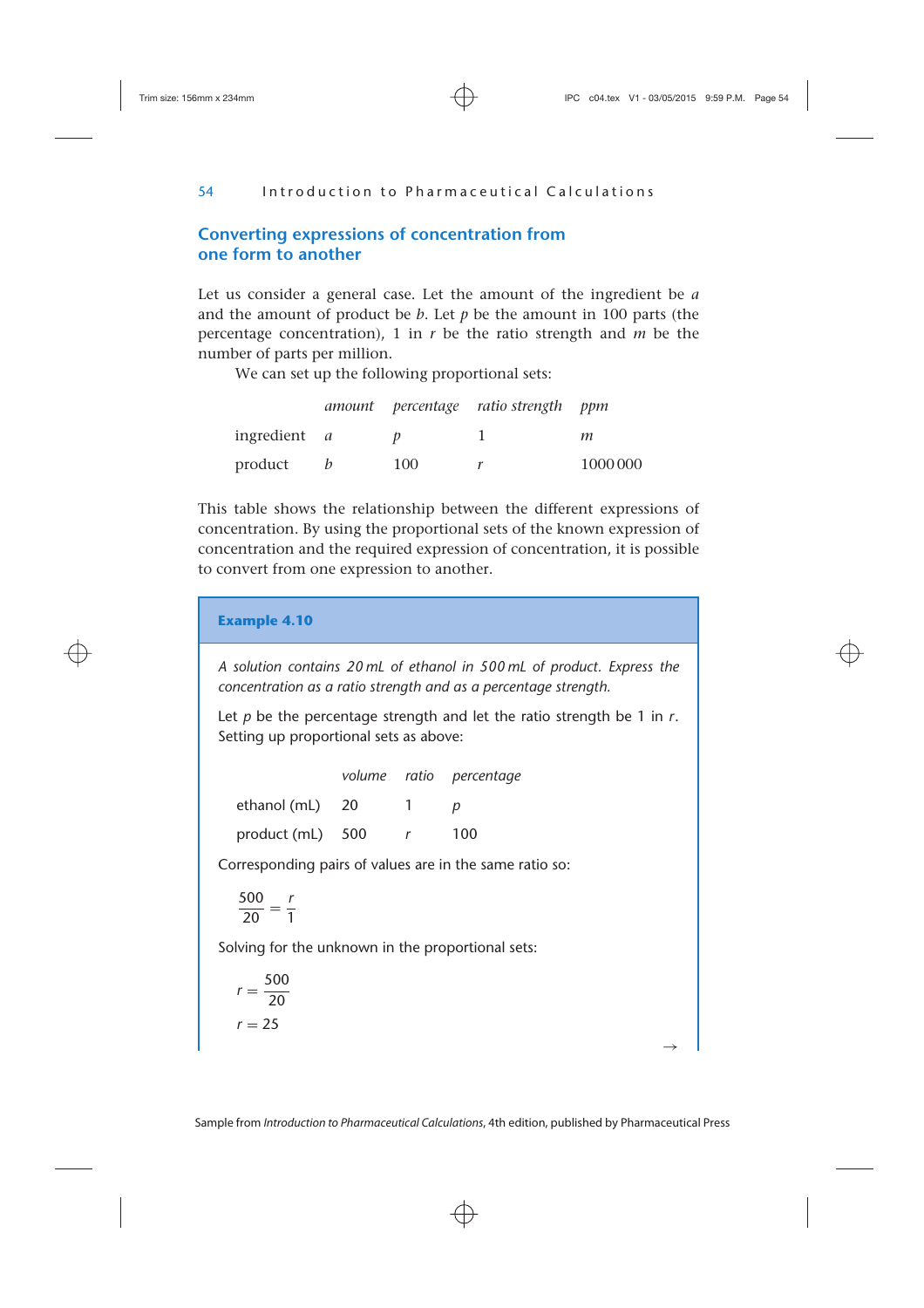# **Converting expressions of concentration from one form to another**

Let us consider a general case. Let the amount of the ingredient be *a* and the amount of product be *b*. Let *p* be the amount in 100 parts (the percentage concentration), 1 in *r* be the ratio strength and *m* be the number of parts per million.

We can set up the following proportional sets:

|                     |     | amount percentage ratio-strength ppm |         |
|---------------------|-----|--------------------------------------|---------|
| ingredient <i>a</i> |     |                                      | т       |
| product             | 100 |                                      | 1000000 |

This table shows the relationship between the different expressions of concentration. By using the proportional sets of the known expression of concentration and the required expression of concentration, it is possible to convert from one expression to another.

**Example 4.10** *A solution contains 20 mL of ethanol in 500 mL of product. Express the concentration as a ratio strength and as a percentage strength.* Let *p* be the percentage strength and let the ratio strength be 1 in *r*. Setting up proportional sets as above: *volume ratio percentage* ethanol (mL) 20 1 *p* product (mL) 500 *r* 100 Corresponding pairs of values are in the same ratio so:  $\frac{500}{20} = \frac{r}{1}$ Solving for the unknown in the proportional sets:  $r = \frac{500}{20}$  $r = 25$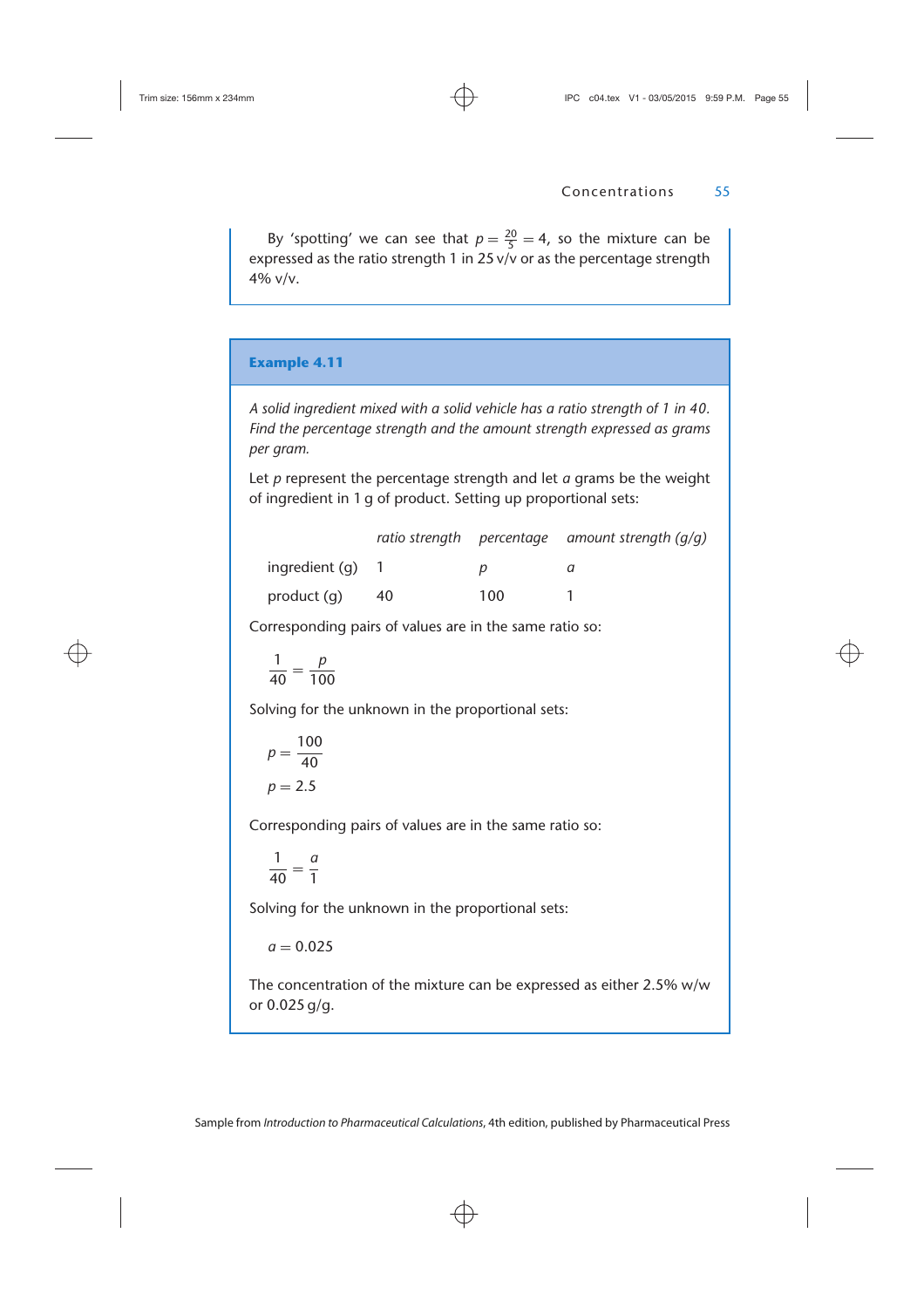By 'spotting' we can see that  $p = \frac{20}{5} = 4$ , so the mixture can be expressed as the ratio strength 1 in 25 v/v or as the percentage strength 4% v/v.

#### **Example 4.11**

*A solid ingredient mixed with a solid vehicle has a ratio strength of 1 in 40. Find the percentage strength and the amount strength expressed as grams per gram.*

Let *p* represent the percentage strength and let *a* grams be the weight of ingredient in 1 g of product. Setting up proportional sets:

|                    |    |     | ratio strength percentage amount strength $(q/q)$ |
|--------------------|----|-----|---------------------------------------------------|
| ingredient $(a)$ 1 |    |     |                                                   |
| product (g)        | 40 | 100 |                                                   |

Corresponding pairs of values are in the same ratio so:

$$
\frac{1}{40}=\frac{p}{100}
$$

Solving for the unknown in the proportional sets:

$$
p = \frac{100}{40}
$$

$$
p = 2.5
$$

Corresponding pairs of values are in the same ratio so:

$$
\frac{1}{40} = \frac{a}{1}
$$

Solving for the unknown in the proportional sets:

 $a = 0.025$ 

The concentration of the mixture can be expressed as either 2.5% w/w or 0.025 g/g.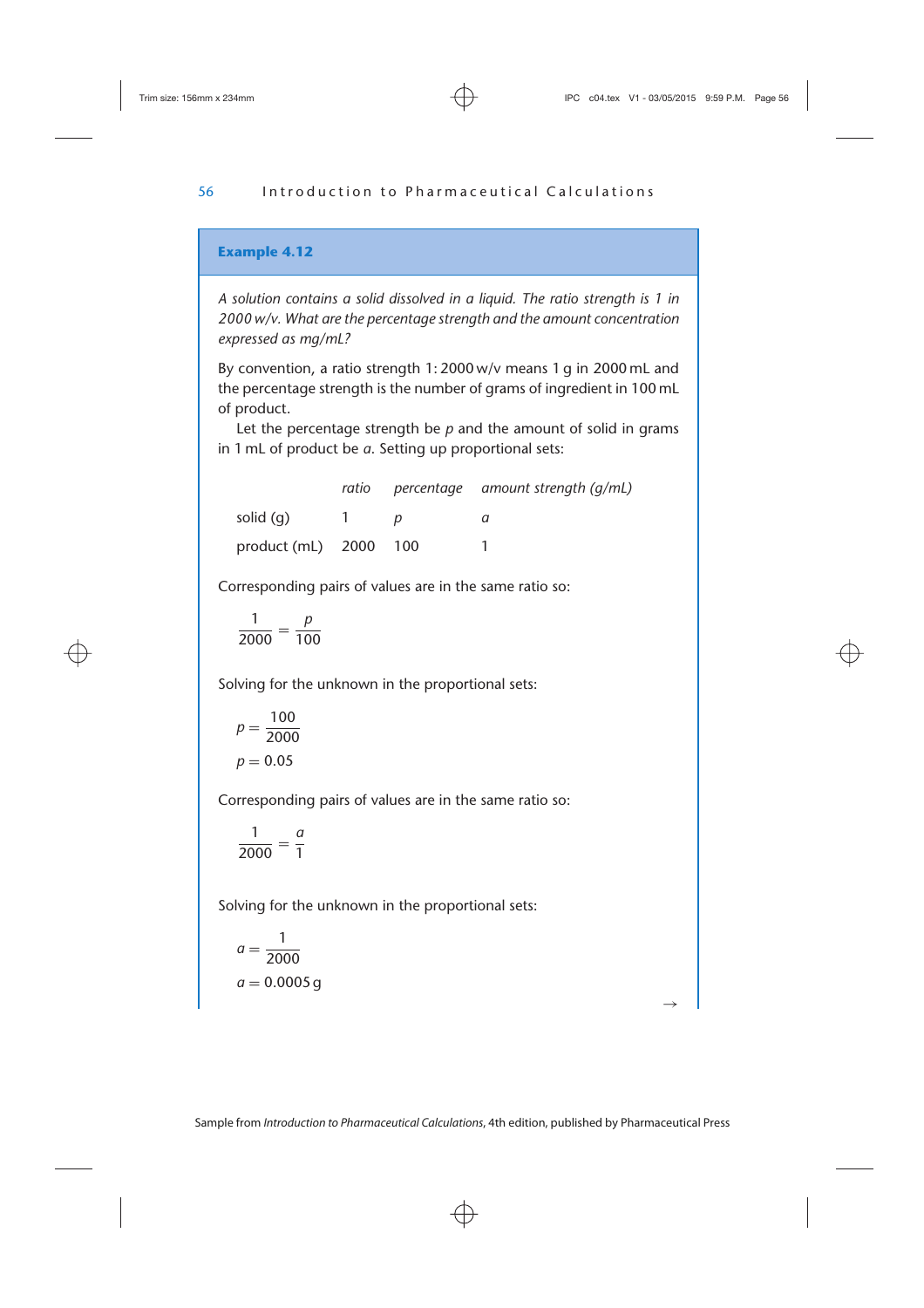*A solution contains a solid dissolved in a liquid. The ratio strength is 1 in 2000 w/v. What are the percentage strength and the amount concentration expressed as mg/mL?*

By convention, a ratio strength 1: 2000 w/v means 1 g in 2000 mL and the percentage strength is the number of grams of ingredient in 100 mL of product.

Let the percentage strength be *p* and the amount of solid in grams in 1 mL of product be *a*. Setting up proportional sets:

|                       |  | ratio percentage amount strength $(q/mL)$ |
|-----------------------|--|-------------------------------------------|
| solid (g)             |  |                                           |
| product (mL) 2000 100 |  |                                           |

Corresponding pairs of values are in the same ratio so:

$$
\frac{1}{2000}=\frac{p}{100}
$$

Solving for the unknown in the proportional sets:

$$
p = \frac{100}{2000}
$$

$$
p = 0.05
$$

Corresponding pairs of values are in the same ratio so:

$$
\frac{1}{2000} = \frac{a}{1}
$$

Solving for the unknown in the proportional sets:

$$
a = \frac{1}{2000}
$$

$$
a = 0.0005 \text{ g}
$$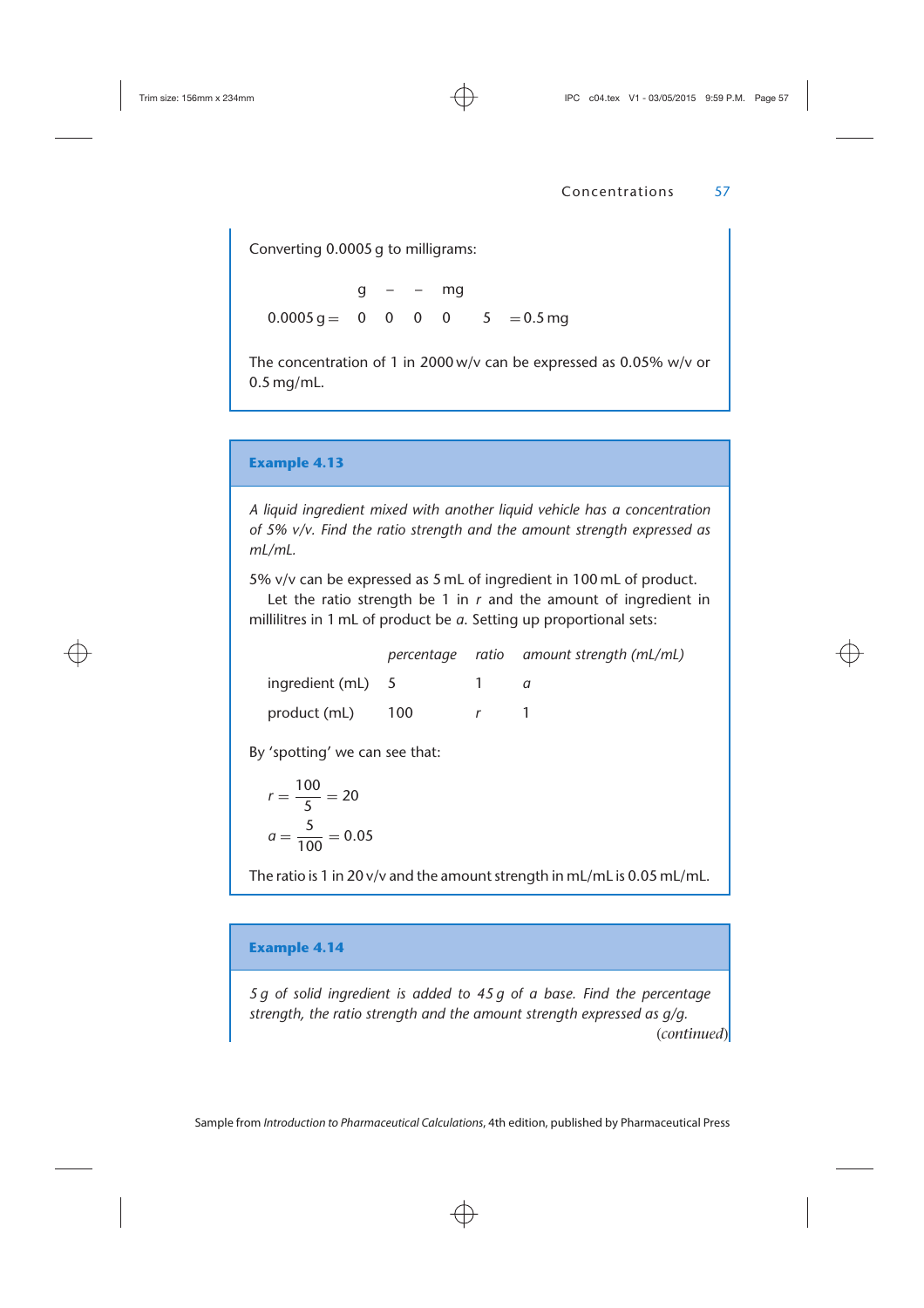Converting 0.0005 g to milligrams:

 $q - - mg$  $0.0005 \text{ q} = 0 \quad 0 \quad 0 \quad 0 \quad 5 = 0.5 \text{ mg}$ 

The concentration of 1 in 2000 w/v can be expressed as 0.05% w/v or 0.5 mg/mL.

## **Example 4.13**

*A liquid ingredient mixed with another liquid vehicle has a concentration of 5% v/v. Find the ratio strength and the amount strength expressed as mL/mL.*

5% v/v can be expressed as 5 mL of ingredient in 100 mL of product.

Let the ratio strength be 1 in *r* and the amount of ingredient in millilitres in 1 mL of product be *a*. Setting up proportional sets:

|                   |     | percentage ratio amount strength (mL/mL) |
|-------------------|-----|------------------------------------------|
| ingredient (mL) 5 |     |                                          |
| product (mL)      | 100 |                                          |

By 'spotting' we can see that:

$$
r = \frac{100}{5} = 20
$$

$$
a = \frac{5}{100} = 0.05
$$

The ratio is 1 in 20 v/v and the amount strength in mL/mL is 0.05 mL/mL.

## **Example 4.14**

*5 g of solid ingredient is added to 45 g of a base. Find the percentage strength, the ratio strength and the amount strength expressed as g/g.* (*continued*)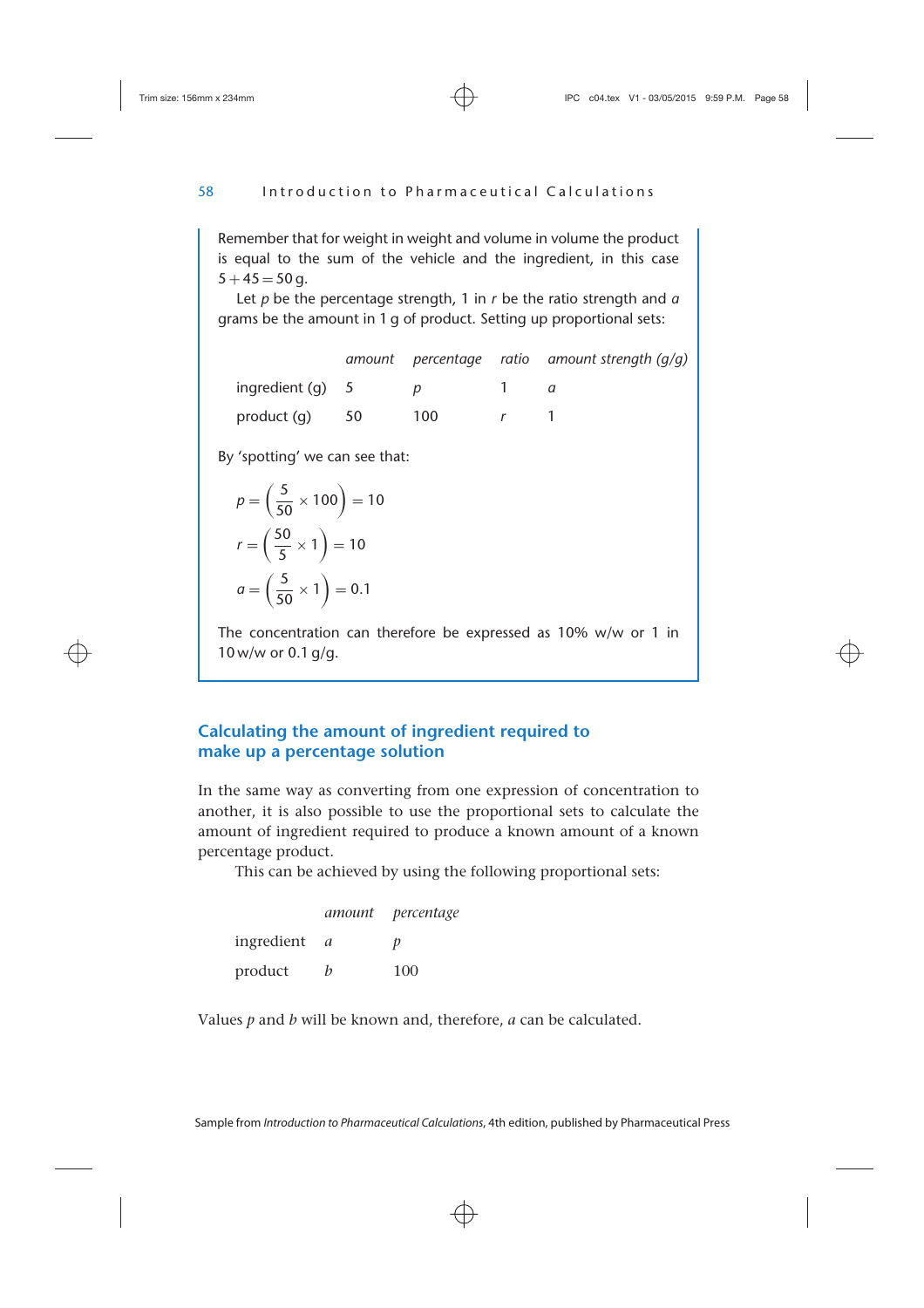Remember that for weight in weight and volume in volume the product is equal to the sum of the vehicle and the ingredient, in this case  $5 + 45 = 50$  g.

Let *p* be the percentage strength, 1 in *r* be the ratio strength and *a* grams be the amount in 1 g of product. Setting up proportional sets:

|                    |     | amount percentage ratio amount strength $(q/q)$ |
|--------------------|-----|-------------------------------------------------|
| ingredient $(a) 5$ |     |                                                 |
| product (g) 50     | 100 |                                                 |

By 'spotting' we can see that:

$$
p = \left(\frac{5}{50} \times 100\right) = 10
$$

$$
r = \left(\frac{50}{5} \times 1\right) = 10
$$

$$
a = \left(\frac{5}{50} \times 1\right) = 0.1
$$

The concentration can therefore be expressed as 10% w/w or 1 in 10 w/w or 0.1 g/g.

# **Calculating the amount of ingredient required to make up a percentage solution**

In the same way as converting from one expression of concentration to another, it is also possible to use the proportional sets to calculate the amount of ingredient required to produce a known amount of a known percentage product.

This can be achieved by using the following proportional sets:

|            |   | amount percentage |
|------------|---|-------------------|
| ingredient | a | D                 |
| product    | h | 100               |

Values *p* and *b* will be known and, therefore, *a* can be calculated.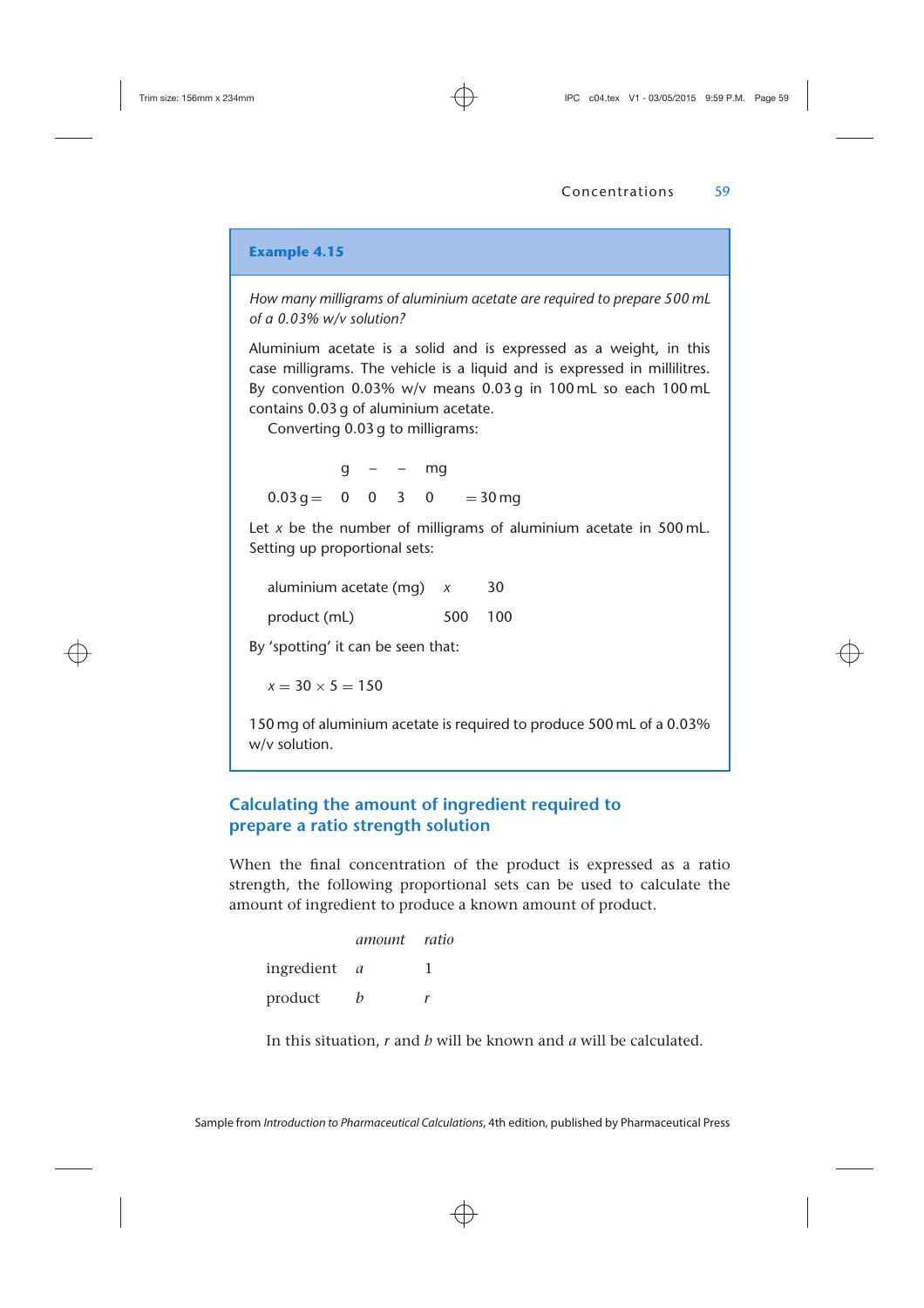*How many milligrams of aluminium acetate are required to prepare 500 mL of a 0.03% w/v solution?*

Aluminium acetate is a solid and is expressed as a weight, in this case milligrams. The vehicle is a liquid and is expressed in millilitres. By convention 0.03% w/v means 0.03 g in 100 mL so each 100 mL contains 0.03 g of aluminium acetate.

Converting 0.03 g to milligrams:

 $q - - mg$  $0.03 \text{ g} = 0 \quad 0 \quad 3 \quad 0 = 30 \text{ ma}$ 

Let *x* be the number of milligrams of aluminium acetate in 500 mL. Setting up proportional sets:

aluminium acetate (mg) *x* 30 product (mL) 500 100

By 'spotting' it can be seen that:

 $x = 30 \times 5 = 150$ 

150 mg of aluminium acetate is required to produce 500 mL of a 0.03% w/v solution.

# **Calculating the amount of ingredient required to prepare a ratio strength solution**

When the final concentration of the product is expressed as a ratio strength, the following proportional sets can be used to calculate the amount of ingredient to produce a known amount of product.

|            | amount ratio |  |
|------------|--------------|--|
| ingredient | a            |  |
| product    | h            |  |

In this situation, *r* and *b* will be known and *a* will be calculated.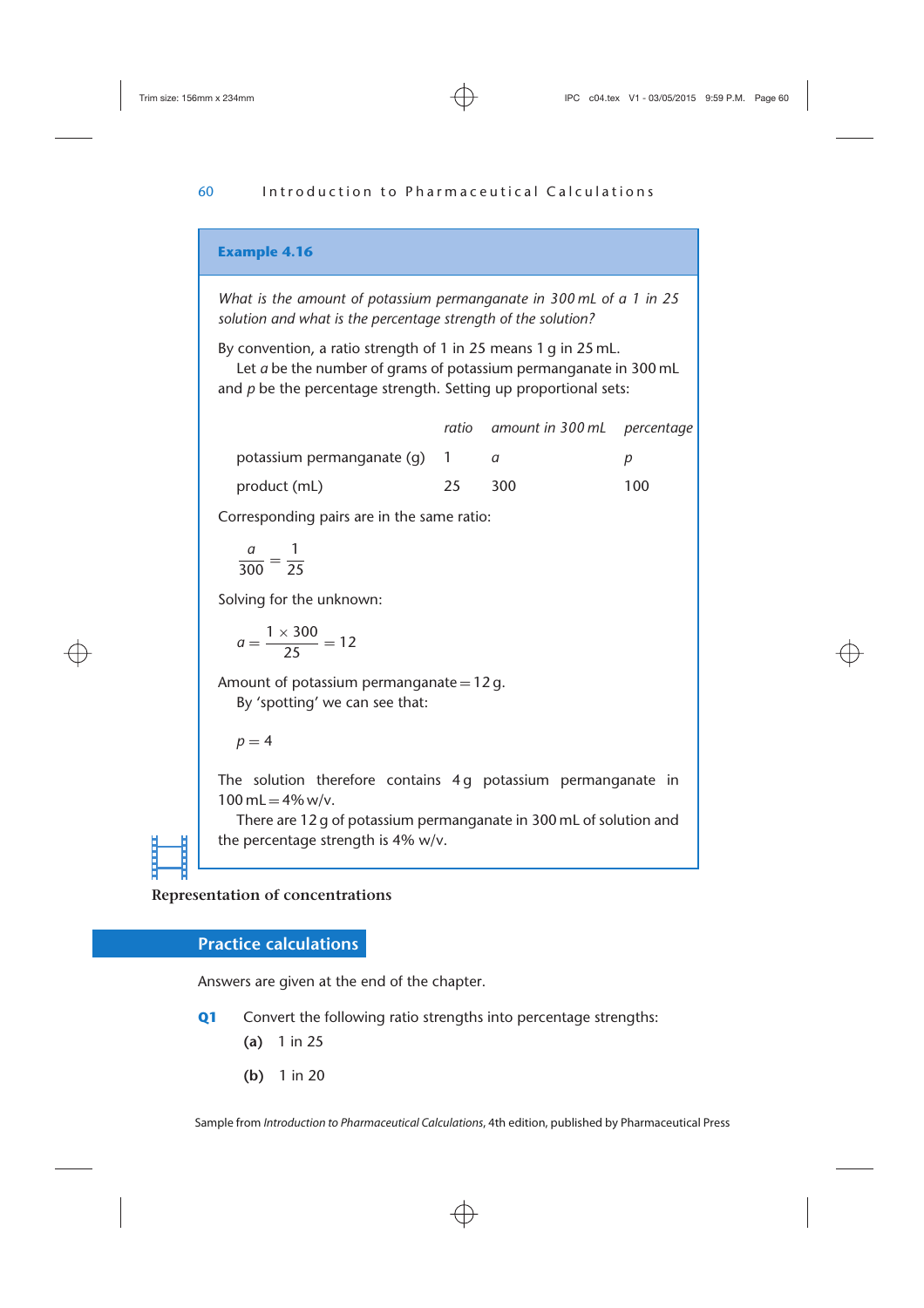*What is the amount of potassium permanganate in 300 mL of a 1 in 25 solution and what is the percentage strength of the solution?*

By convention, a ratio strength of 1 in 25 means 1 g in 25 mL.

Let *a* be the number of grams of potassium permanganate in 300 mL and *p* be the percentage strength. Setting up proportional sets:

|                              |     | ratio amount in 300 mL percentage |     |
|------------------------------|-----|-----------------------------------|-----|
| potassium permanganate (q) 1 |     |                                   |     |
| product (mL)                 | 25. | 300                               | 100 |

Corresponding pairs are in the same ratio:

$$
\frac{a}{300}=\frac{1}{25}
$$

Solving for the unknown:

$$
a=\frac{1\times300}{25}=12
$$

Amount of potassium permanganate =  $12 g$ . By 'spotting' we can see that:

 $p = 4$ 

The solution therefore contains 4g potassium permanganate in  $100$  mL =  $4\%$  w/v.

There are 12 g of potassium permanganate in 300 mL of solution and the percentage strength is 4% w/v.

**Representation of concentrations**

# **Practice calculations**

Answers are given at the end of the chapter.

**Q1** Convert the following ratio strengths into percentage strengths:

- **(a)** 1 in 25
- **(b)** 1 in 20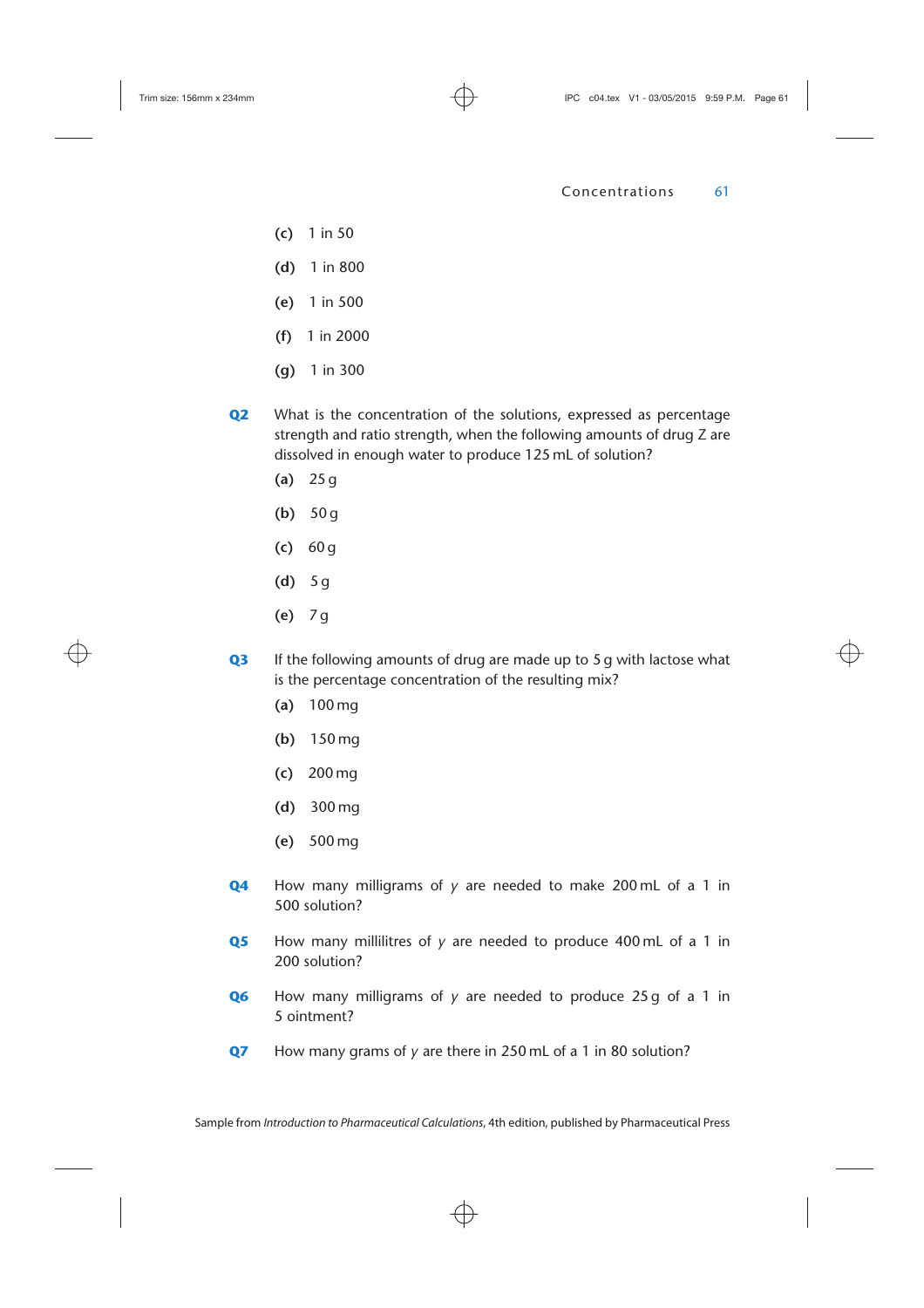- **(c)** 1 in 50
- **(d)** 1 in 800
- **(e)** 1 in 500
- **(f)** 1 in 2000
- **(g)** 1 in 300
- **Q2** What is the concentration of the solutions, expressed as percentage strength and ratio strength, when the following amounts of drug Z are dissolved in enough water to produce 125 mL of solution?
	- **(a)** 25 g
	- **(b)** 50 g
	- **(c)** 60 g
	- **(d)** 5 g
	- **(e)** 7 g
- **Q3** If the following amounts of drug are made up to 5 g with lactose what is the percentage concentration of the resulting mix?
	- **(a)** 100 mg
	- **(b)** 150 mg
	- **(c)** 200 mg
	- **(d)** 300 mg
	- **(e)** 500 mg
- **Q4** How many milligrams of *y* are needed to make 200 mL of a 1 in 500 solution?
- **Q5** How many millilitres of *y* are needed to produce 400 mL of a 1 in 200 solution?
- **Q6** How many milligrams of *y* are needed to produce 25 g of a 1 in 5 ointment?
- **Q7** How many grams of *y* are there in 250 mL of a 1 in 80 solution?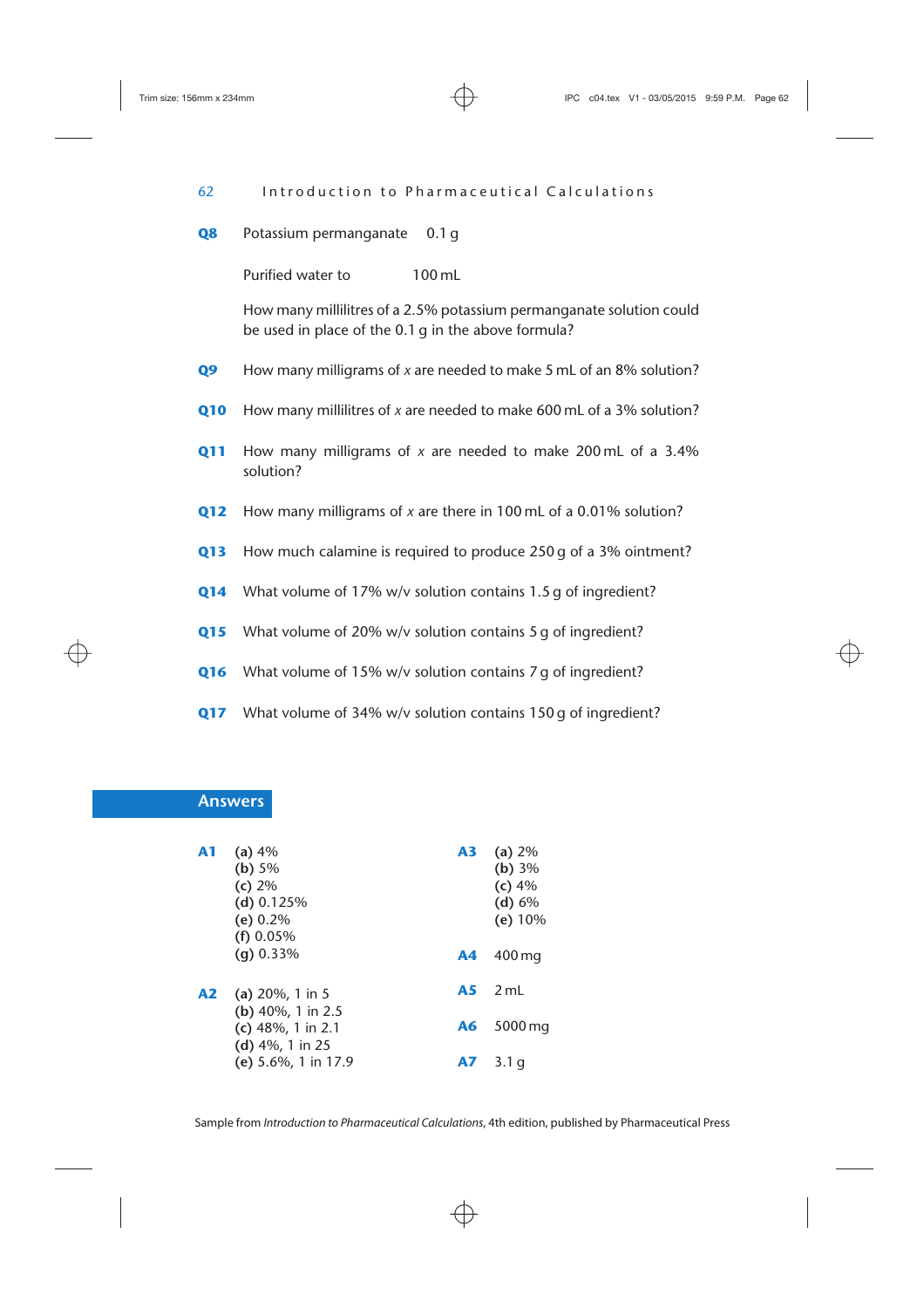62 Introduction to Pharmaceutical Calculations

**Q8** Potassium permanganate 0.1 g

Purified water to 100 mL

How many millilitres of a 2.5% potassium permanganate solution could be used in place of the 0.1 g in the above formula?

**Q9** How many milligrams of *x* are needed to make 5 mL of an 8% solution?

- **Q10** How many millilitres of *x* are needed to make 600 mL of a 3% solution?
- **Q11** How many milligrams of *x* are needed to make 200 mL of a 3.4% solution?
- **Q12** How many milligrams of *x* are there in 100 mL of a 0.01% solution?
- **Q13** How much calamine is required to produce 250 g of a 3% ointment?
- **Q14** What volume of 17% w/v solution contains 1.5 g of ingredient?
- **Q15** What volume of 20% w/v solution contains 5 g of ingredient?
- **Q16** What volume of 15% w/v solution contains 7 g of ingredient?
- **Q17** What volume of 34% w/v solution contains 150 g of ingredient?

## **Answers**

| A1 | (a) 4%<br>(b) $5%$<br>(c) 2%<br>(d) $0.125%$<br>(e) $0.2\%$<br>$(f)$ 0.05% | A3 | (a) $2%$<br>(b) 3%<br>(c) 4%<br>(d) 6%<br>(e) 10% |
|----|----------------------------------------------------------------------------|----|---------------------------------------------------|
|    | $(a) 0.33\%$                                                               | A4 | 400 mg                                            |
| A2 | (a) $20\%$ , 1 in 5                                                        | A5 | $2 \text{ ml}$                                    |
|    | (b) $40\%$ , 1 in 2.5<br>(c) $48\%$ , 1 in 2.1                             | A6 | $5000$ mg                                         |
|    | (d) 4%, 1 in 25<br>(e) $5.6\%$ , 1 in 17.9                                 | A7 | 3.1 g                                             |

Sample from *Introduction to Pharmaceutical Calculations*, 4th edition, published by Pharmaceutical Press